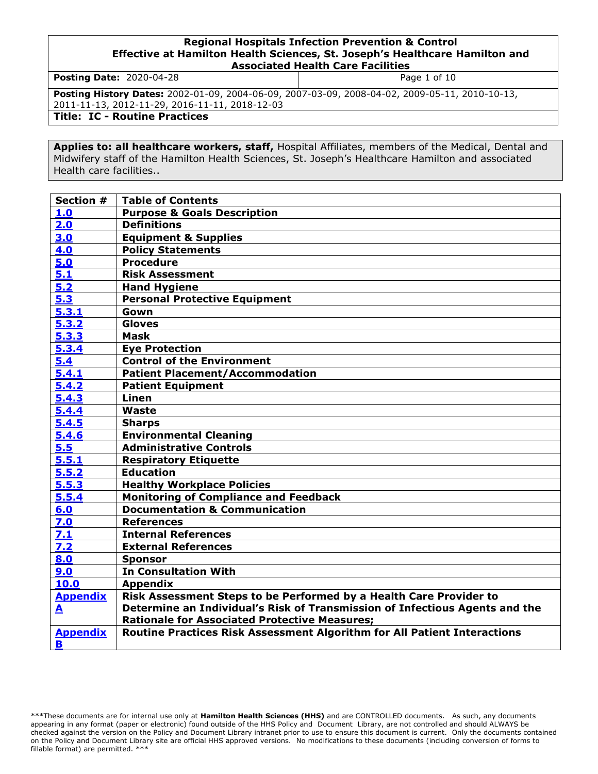**Posting Date:** 2020-04-28 **Posting Date:** 2020-04-28

**Posting History Dates:** 2002-01-09, 2004-06-09, 2007-03-09, 2008-04-02, 2009-05-11, 2010-10-13, 2011-11-13, 2012-11-29, 2016-11-11, 2018-12-03 **Title: IC - Routine Practices**

**Applies to: all healthcare workers, staff,** Hospital Affiliates, members of the Medical, Dental and Midwifery staff of the Hamilton Health Sciences, St. Joseph's Healthcare Hamilton and associated Health care facilities..

| Section #        | <b>Table of Contents</b>                                                    |
|------------------|-----------------------------------------------------------------------------|
| 1.0              | <b>Purpose &amp; Goals Description</b>                                      |
| 2.0              | <b>Definitions</b>                                                          |
| 3.0              | <b>Equipment &amp; Supplies</b>                                             |
| 4.0              | <b>Policy Statements</b>                                                    |
| 5.0              | Procedure                                                                   |
| 5.1              | <b>Risk Assessment</b>                                                      |
| 5.2              | <b>Hand Hygiene</b>                                                         |
| 5.3              | <b>Personal Protective Equipment</b>                                        |
| 5.3.1            | Gown                                                                        |
| 5.3.2            | <b>Gloves</b>                                                               |
| 5.3.3            | <b>Mask</b>                                                                 |
| 5.3.4            | <b>Eye Protection</b>                                                       |
| 5.4              | <b>Control of the Environment</b>                                           |
| 5.4.1            | <b>Patient Placement/Accommodation</b>                                      |
| 5.4.2            | <b>Patient Equipment</b>                                                    |
| 5.4.3            | Linen                                                                       |
| 5.4.4            | Waste                                                                       |
| 5.4.5            | <b>Sharps</b>                                                               |
| 5.4.6            | <b>Environmental Cleaning</b>                                               |
| 5.5              | <b>Administrative Controls</b>                                              |
| 5.5.1            | <b>Respiratory Etiquette</b>                                                |
| 5.5.2            | <b>Education</b>                                                            |
| 5.5.3            | <b>Healthy Workplace Policies</b>                                           |
| 5.5.4            | <b>Monitoring of Compliance and Feedback</b>                                |
| 6.0              | <b>Documentation &amp; Communication</b>                                    |
| 7.0              | <b>References</b>                                                           |
| 7.1              | <b>Internal References</b>                                                  |
| 7.2              | <b>External References</b>                                                  |
| 8.0              | <b>Sponsor</b>                                                              |
| 9.0              | <b>In Consultation With</b>                                                 |
| 10.0             | <b>Appendix</b>                                                             |
| <b>Appendix</b>  | Risk Assessment Steps to be Performed by a Health Care Provider to          |
| $\blacktriangle$ | Determine an Individual's Risk of Transmission of Infectious Agents and the |
|                  | <b>Rationale for Associated Protective Measures;</b>                        |
| <b>Appendix</b>  | Routine Practices Risk Assessment Algorithm for All Patient Interactions    |
| B                |                                                                             |

<sup>\*\*\*</sup>These documents are for internal use only at **Hamilton Health Sciences (HHS)** and are CONTROLLED documents. As such, any documents appearing in any format (paper or electronic) found outside of the HHS Policy and Document Library, are not controlled and should ALWAYS be checked against the version on the Policy and Document Library intranet prior to use to ensure this document is current. Only the documents contained on the Policy and Document Library site are official HHS approved versions. No modifications to these documents (including conversion of forms to fillable format) are permitted. \*\*\*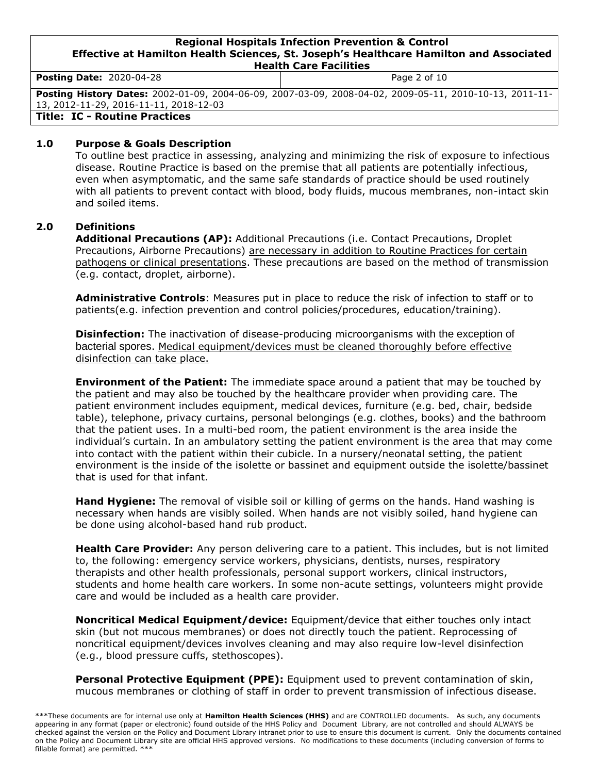| <b>Posting Date: 2020-04-28</b>        | Page 2 of 10                                                                                                   |
|----------------------------------------|----------------------------------------------------------------------------------------------------------------|
| 13, 2012-11-29, 2016-11-11, 2018-12-03 | <b>Posting History Dates:</b> 2002-01-09, 2004-06-09, 2007-03-09, 2008-04-02, 2009-05-11, 2010-10-13, 2011-11- |
| <b>Title: IC - Routine Practices</b>   |                                                                                                                |

#### <span id="page-1-0"></span>**1.0 Purpose & Goals Description**

To outline best practice in assessing, analyzing and minimizing the risk of exposure to infectious disease. Routine Practice is based on the premise that all patients are potentially infectious, even when asymptomatic, and the same safe standards of practice should be used routinely with all patients to prevent contact with blood, body fluids, mucous membranes, non-intact skin and soiled items.

### <span id="page-1-1"></span>**2.0 Definitions**

**Additional Precautions (AP):** Additional Precautions (i.e. Contact Precautions, Droplet Precautions, Airborne Precautions) are necessary in addition to Routine Practices for certain pathogens or clinical presentations. These precautions are based on the method of transmission (e.g. contact, droplet, airborne).

**Administrative Controls**: Measures put in place to reduce the risk of infection to staff or to patients(e.g. infection prevention and control policies/procedures, education/training).

**Disinfection:** The inactivation of disease-producing microorganisms with the exception of bacterial spores. Medical equipment/devices must be cleaned thoroughly before effective disinfection can take place.

**Environment of the Patient:** The immediate space around a patient that may be touched by the patient and may also be touched by the healthcare provider when providing care. The patient environment includes equipment, medical devices, furniture (e.g. bed, chair, bedside table), telephone, privacy curtains, personal belongings (e.g. clothes, books) and the bathroom that the patient uses. In a multi-bed room, the patient environment is the area inside the individual's curtain. In an ambulatory setting the patient environment is the area that may come into contact with the patient within their cubicle. In a nursery/neonatal setting, the patient environment is the inside of the isolette or bassinet and equipment outside the isolette/bassinet that is used for that infant.

**Hand Hygiene:** The removal of visible soil or killing of germs on the hands. Hand washing is necessary when hands are visibly soiled. When hands are not visibly soiled, hand hygiene can be done using alcohol-based hand rub product.

**Health Care Provider:** Any person delivering care to a patient. This includes, but is not limited to, the following: emergency service workers, physicians, dentists, nurses, respiratory therapists and other health professionals, personal support workers, clinical instructors, students and home health care workers. In some non-acute settings, volunteers might provide care and would be included as a health care provider.

**Noncritical Medical Equipment/device:** Equipment/device that either touches only intact skin (but not mucous membranes) or does not directly touch the patient. Reprocessing of noncritical equipment/devices involves cleaning and may also require low-level disinfection (e.g., blood pressure cuffs, stethoscopes).

**Personal Protective Equipment (PPE):** Equipment used to prevent contamination of skin, mucous membranes or clothing of staff in order to prevent transmission of infectious disease.

<sup>\*\*\*</sup>These documents are for internal use only at **Hamilton Health Sciences (HHS)** and are CONTROLLED documents. As such, any documents appearing in any format (paper or electronic) found outside of the HHS Policy and Document Library, are not controlled and should ALWAYS be checked against the version on the Policy and Document Library intranet prior to use to ensure this document is current. Only the documents contained on the Policy and Document Library site are official HHS approved versions. No modifications to these documents (including conversion of forms to fillable format) are permitted. \*\*\*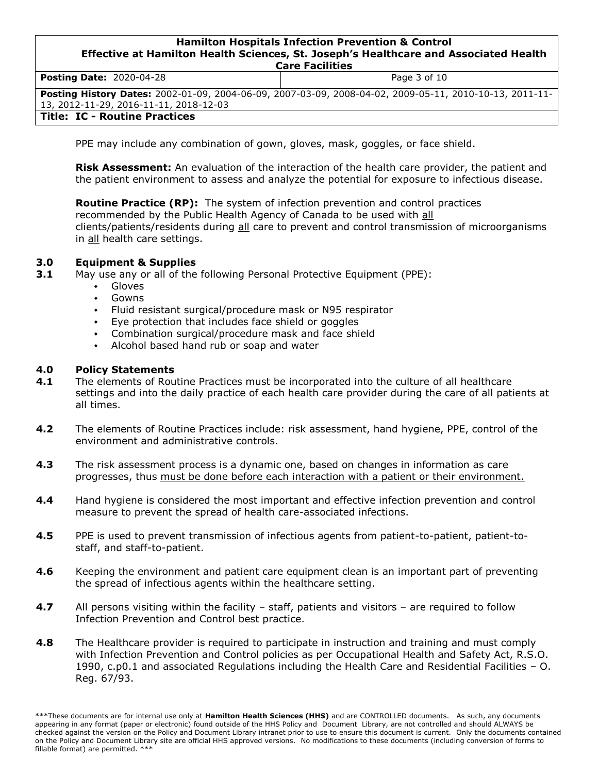| <b>Posting Date: 2020-04-28</b>                                                                                                                   | Page 3 of 10 |  |
|---------------------------------------------------------------------------------------------------------------------------------------------------|--------------|--|
| Posting History Dates: 2002-01-09, 2004-06-09, 2007-03-09, 2008-04-02, 2009-05-11, 2010-10-13, 2011-11-<br>13, 2012-11-29, 2016-11-11, 2018-12-03 |              |  |
| <b>Title: IC - Routine Practices</b>                                                                                                              |              |  |

PPE may include any combination of gown, gloves, mask, goggles, or face shield.

**Risk Assessment:** An evaluation of the interaction of the health care provider, the patient and the patient environment to assess and analyze the potential for exposure to infectious disease.

**Routine Practice (RP):** The system of infection prevention and control practices recommended by the Public Health Agency of Canada to be used with all clients/patients/residents during all care to prevent and control transmission of microorganisms in all health care settings.

## <span id="page-2-0"></span>**3.0 Equipment & Supplies**

- **3.1** May use any or all of the following Personal Protective Equipment (PPE):
	- Gloves
	- Gowns
	- Fluid resistant surgical/procedure mask or N95 respirator
	- Eye protection that includes face shield or goggles
	- Combination surgical/procedure mask and face shield
	- Alcohol based hand rub or soap and water

### <span id="page-2-1"></span>**4.0 Policy Statements**

- **4.1** The elements of Routine Practices must be incorporated into the culture of all healthcare settings and into the daily practice of each health care provider during the care of all patients at all times.
- **4.2** The elements of Routine Practices include: risk assessment, hand hygiene, PPE, control of the environment and administrative controls.
- **4.3** The risk assessment process is a dynamic one, based on changes in information as care progresses, thus must be done before each interaction with a patient or their environment.
- **4.4** Hand hygiene is considered the most important and effective infection prevention and control measure to prevent the spread of health care-associated infections.
- **4.5** PPE is used to prevent transmission of infectious agents from patient-to-patient, patient-tostaff, and staff-to-patient.
- **4.6** Keeping the environment and patient care equipment clean is an important part of preventing the spread of infectious agents within the healthcare setting.
- **4.7** All persons visiting within the facility staff, patients and visitors are required to follow Infection Prevention and Control best practice.
- **4.8** The Healthcare provider is required to participate in instruction and training and must comply with Infection Prevention and Control policies as per Occupational Health and Safety Act, R.S.O. 1990, c.p0.1 and associated Regulations including the Health Care and Residential Facilities – O. Reg. 67/93.

<sup>\*\*\*</sup>These documents are for internal use only at **Hamilton Health Sciences (HHS)** and are CONTROLLED documents. As such, any documents appearing in any format (paper or electronic) found outside of the HHS Policy and Document Library, are not controlled and should ALWAYS be checked against the version on the Policy and Document Library intranet prior to use to ensure this document is current. Only the documents contained on the Policy and Document Library site are official HHS approved versions. No modifications to these documents (including conversion of forms to fillable format) are permitted. \*\*\*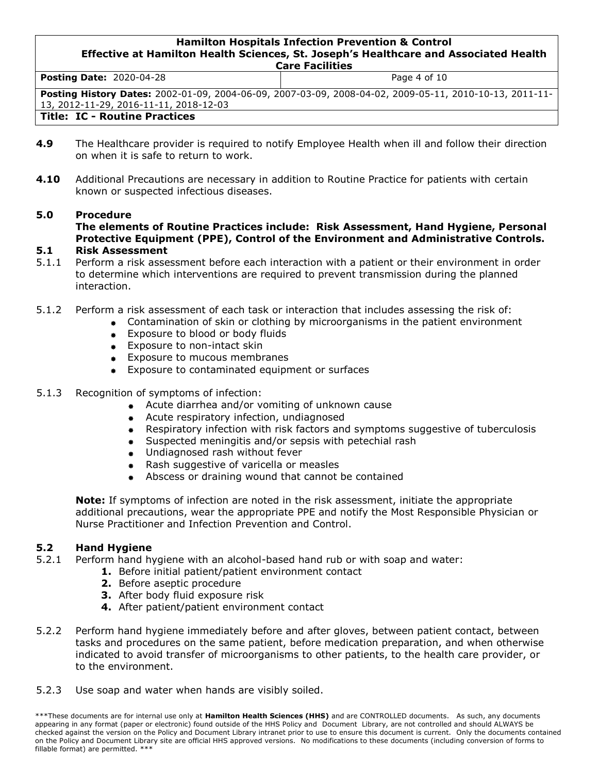| <b>Posting Date: 2020-04-28</b>                                                                         | Page 4 of 10 |  |
|---------------------------------------------------------------------------------------------------------|--------------|--|
| Posting History Dates: 2002-01-09, 2004-06-09, 2007-03-09, 2008-04-02, 2009-05-11, 2010-10-13, 2011-11- |              |  |
| 13, 2012-11-29, 2016-11-11, 2018-12-03                                                                  |              |  |
| <b>Title: IC - Routine Practices</b>                                                                    |              |  |

- **4.9** The Healthcare provider is required to notify Employee Health when ill and follow their direction on when it is safe to return to work.
- **4.10** Additional Precautions are necessary in addition to Routine Practice for patients with certain known or suspected infectious diseases.

## <span id="page-3-0"></span>**5.0 Procedure**

**The elements of Routine Practices include: Risk Assessment, Hand Hygiene, Personal Protective Equipment (PPE), Control of the Environment and Administrative Controls.**

## <span id="page-3-1"></span>**5.1 Risk Assessment**

- 5.1.1 Perform a risk assessment before each interaction with a patient or their environment in order to determine which interventions are required to prevent transmission during the planned interaction.
- 5.1.2 Perform a risk assessment of each task or interaction that includes assessing the risk of:
	- Contamination of skin or clothing by microorganisms in the patient environment
	- **Exposure to blood or body fluids**
	- **Exposure to non-intact skin**
	- **Exposure to mucous membranes**
	- **Exposure to contaminated equipment or surfaces**

## 5.1.3 Recognition of symptoms of infection:

- Acute diarrhea and/or vomiting of unknown cause
- Acute respiratory infection, undiagnosed
- Respiratory infection with risk factors and symptoms suggestive of tuberculosis
- Suspected meningitis and/or sepsis with petechial rash
- **Undiagnosed rash without fever**
- Rash suggestive of varicella or measles
- Abscess or draining wound that cannot be contained

**Note:** If symptoms of infection are noted in the risk assessment, initiate the appropriate additional precautions, wear the appropriate PPE and notify the Most Responsible Physician or Nurse Practitioner and Infection Prevention and Control.

# <span id="page-3-2"></span>**5.2 Hand Hygiene**

- 5.2.1 Perform hand hygiene with an alcohol-based hand rub or with soap and water:
	- **1.** Before initial patient/patient environment contact
	- **2.** Before aseptic procedure
	- **3.** After body fluid exposure risk
	- **4.** After patient/patient environment contact
- 5.2.2 Perform hand hygiene immediately before and after gloves, between patient contact, between tasks and procedures on the same patient, before medication preparation, and when otherwise indicated to avoid transfer of microorganisms to other patients, to the health care provider, or to the environment.
- 5.2.3 Use soap and water when hands are visibly soiled.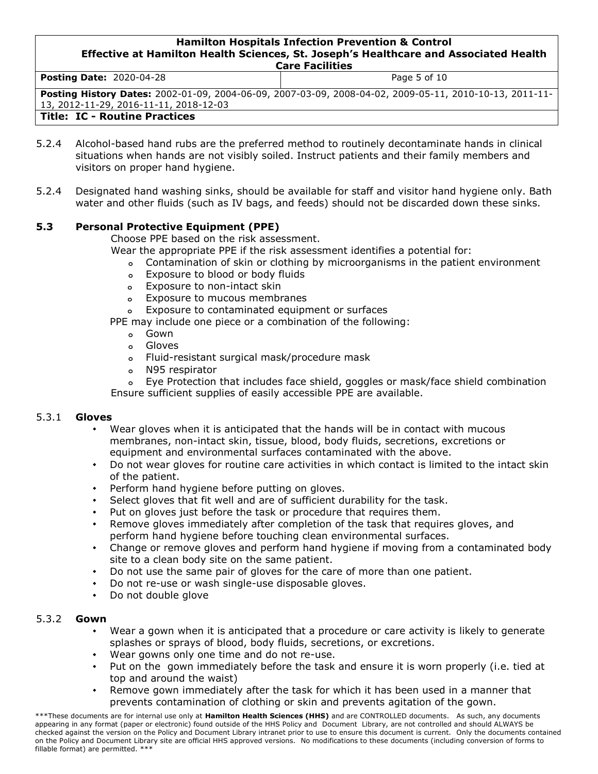| <b>Posting Date: 2020-04-28</b>                                                                                                                   | Page 5 of 10 |  |
|---------------------------------------------------------------------------------------------------------------------------------------------------|--------------|--|
| Posting History Dates: 2002-01-09, 2004-06-09, 2007-03-09, 2008-04-02, 2009-05-11, 2010-10-13, 2011-11-<br>13, 2012-11-29, 2016-11-11, 2018-12-03 |              |  |
| <b>Title: IC - Routine Practices</b>                                                                                                              |              |  |

- 5.2.4 Alcohol-based hand rubs are the preferred method to routinely decontaminate hands in clinical situations when hands are not visibly soiled. Instruct patients and their family members and visitors on proper hand hygiene.
- 5.2.4 Designated hand washing sinks, should be available for staff and visitor hand hygiene only. Bath water and other fluids (such as IV bags, and feeds) should not be discarded down these sinks.

# <span id="page-4-0"></span>**5.3 Personal Protective Equipment (PPE)**

Choose PPE based on the risk assessment.

Wear the appropriate PPE if the risk assessment identifies a potential for:

- **o** Contamination of skin or clothing by microorganisms in the patient environment
- **o** Exposure to blood or body fluids
- **o** Exposure to non-intact skin
- **o** Exposure to mucous membranes
- **o** Exposure to contaminated equipment or surfaces

PPE may include one piece or a combination of the following:

- **o** Gown
- **o** Gloves
- **o** Fluid-resistant surgical mask/procedure mask
- **o** N95 respirator

**o** Eye Protection that includes face shield, goggles or mask/face shield combination Ensure sufficient supplies of easily accessible PPE are available.

### <span id="page-4-1"></span>5.3.1 **Gloves**

- Wear gloves when it is anticipated that the hands will be in contact with mucous membranes, non-intact skin, tissue, blood, body fluids, secretions, excretions or equipment and environmental surfaces contaminated with the above.
- Do not wear gloves for routine care activities in which contact is limited to the intact skin of the patient.
- Perform hand hygiene before putting on gloves.
- Select gloves that fit well and are of sufficient durability for the task.
- Put on gloves just before the task or procedure that requires them.
- Remove gloves immediately after completion of the task that requires gloves, and perform hand hygiene before touching clean environmental surfaces.
- Change or remove gloves and perform hand hygiene if moving from a contaminated body site to a clean body site on the same patient.
- Do not use the same pair of gloves for the care of more than one patient.
- Do not re-use or wash single-use disposable gloves.
- Do not double glove

### <span id="page-4-2"></span>5.3.2 **Gown**

- Wear a gown when it is anticipated that a procedure or care activity is likely to generate splashes or sprays of blood, body fluids, secretions, or excretions.
- Wear gowns only one time and do not re-use.
- Put on the gown immediately before the task and ensure it is worn properly (i.e. tied at top and around the waist)
- Remove gown immediately after the task for which it has been used in a manner that prevents contamination of clothing or skin and prevents agitation of the gown.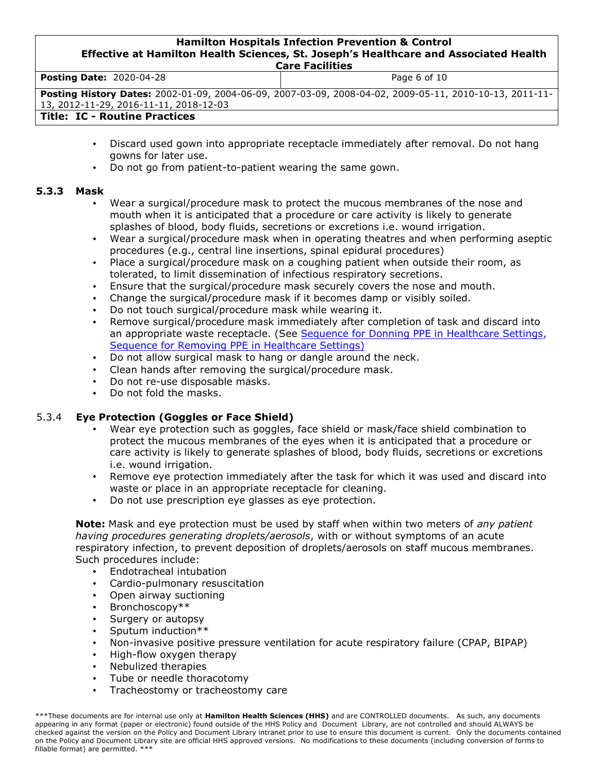**Posting Date:** 2020-04-28 **Posting Date: 2020-04-28** Page 6 of 10 **Posting History Dates:** 2002-01-09, 2004-06-09, 2007-03-09, 2008-04-02, 2009-05-11, 2010-10-13, 2011-11- 13, 2012-11-29, 2016-11-11, 2018-12-03 **Title: IC - Routine Practices**

- Discard used gown into appropriate receptacle immediately after removal. Do not hang gowns for later use.
- Do not go from patient-to-patient wearing the same gown.

## <span id="page-5-0"></span>**5.3.3 Mask**

- Wear a surgical/procedure mask to protect the mucous membranes of the nose and mouth when it is anticipated that a procedure or care activity is likely to generate splashes of blood, body fluids, secretions or excretions i.e. wound irrigation.
- Wear a surgical/procedure mask when in operating theatres and when performing aseptic procedures (e.g., central line insertions, spinal epidural procedures)
- Place a surgical/procedure mask on a coughing patient when outside their room, as tolerated, to limit dissemination of infectious respiratory secretions.
- Ensure that the surgical/procedure mask securely covers the nose and mouth.
- Change the surgical/procedure mask if it becomes damp or visibly soiled.
- Do not touch surgical/procedure mask while wearing it.
- Remove surgical/procedure mask immediately after completion of task and discard into an appropriate waste receptacle. (See [Sequence for Donning PPE in Healthcare Settings,](http://mystjoes/sites/Depts-A-L/ipac/Shared%20Documents/Process%20for%20Donning%20PPE%20-%20COVID-19.pdf) [Sequence for Removing PPE in Healthcare Settings\)](http://mystjoes/sites/Depts-A-L/ipac/Shared%20Documents/Process%20for%20Doffing%20PPE%20-%20COVID-19.pdf)
- Do not allow surgical mask to hang or dangle around the neck.
- Clean hands after removing the surgical/procedure mask.
- Do not re-use disposable masks.
- Do not fold the masks.

# <span id="page-5-1"></span>5.3.4 **Eye Protection (Goggles or Face Shield)**

- Wear eye protection such as goggles, face shield or mask/face shield combination to protect the mucous membranes of the eyes when it is anticipated that a procedure or care activity is likely to generate splashes of blood, body fluids, secretions or excretions i.e. wound irrigation.
- Remove eye protection immediately after the task for which it was used and discard into waste or place in an appropriate receptacle for cleaning.
- Do not use prescription eye glasses as eye protection.

**Note:** Mask and eye protection must be used by staff when within two meters of *any patient having procedures generating droplets/aerosols*, with or without symptoms of an acute respiratory infection, to prevent deposition of droplets/aerosols on staff mucous membranes. Such procedures include:

- Endotracheal intubation
- Cardio-pulmonary resuscitation
- Open airway suctioning
- Bronchoscopy\*\*
- Surgery or autopsy
- Sputum induction\*\*
- Non-invasive positive pressure ventilation for acute respiratory failure (CPAP, BIPAP)
- High-flow oxygen therapy
- Nebulized therapies
- Tube or needle thoracotomy
- Tracheostomy or tracheostomy care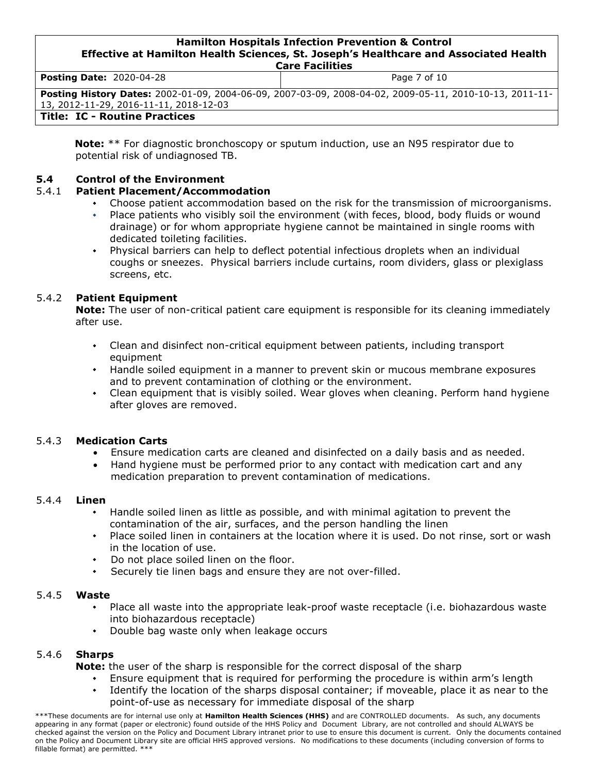| <b>Posting Date: 2020-04-28</b>        | Page 7 of 10                                                                                            |
|----------------------------------------|---------------------------------------------------------------------------------------------------------|
| 13, 2012-11-29, 2016-11-11, 2018-12-03 | Posting History Dates: 2002-01-09, 2004-06-09, 2007-03-09, 2008-04-02, 2009-05-11, 2010-10-13, 2011-11- |
| <b>Title: IC - Routine Practices</b>   |                                                                                                         |

**Note:** \*\* For diagnostic bronchoscopy or sputum induction, use an N95 respirator due to potential risk of undiagnosed TB.

# <span id="page-6-0"></span>**5.4 Control of the Environment**

## 5.4.1 **Patient Placement/Accommodation**

- Choose patient accommodation based on the risk for the transmission of microorganisms.
- Place patients who visibly soil the environment (with feces, blood, body fluids or wound drainage) or for whom appropriate hygiene cannot be maintained in single rooms with dedicated toileting facilities.
- Physical barriers can help to deflect potential infectious droplets when an individual coughs or sneezes. Physical barriers include curtains, room dividers, glass or plexiglass screens, etc.

# <span id="page-6-1"></span>5.4.2 **Patient Equipment**

**Note:** The user of non-critical patient care equipment is responsible for its cleaning immediately after use.

- Clean and disinfect non-critical equipment between patients, including transport equipment
- Handle soiled equipment in a manner to prevent skin or mucous membrane exposures and to prevent contamination of clothing or the environment.
- Clean equipment that is visibly soiled. Wear gloves when cleaning. Perform hand hygiene after gloves are removed.

#### <span id="page-6-2"></span>5.4.3 **Medication Carts**

- Ensure medication carts are cleaned and disinfected on a daily basis and as needed.
- Hand hygiene must be performed prior to any contact with medication cart and any medication preparation to prevent contamination of medications.

#### 5.4.4 **Linen**

- Handle soiled linen as little as possible, and with minimal agitation to prevent the contamination of the air, surfaces, and the person handling the linen
- Place soiled linen in containers at the location where it is used. Do not rinse, sort or wash in the location of use.
- Do not place soiled linen on the floor.
- Securely tie linen bags and ensure they are not over-filled.

### <span id="page-6-3"></span>5.4.5 **Waste**

- Place all waste into the appropriate leak-proof waste receptacle (i.e. biohazardous waste into biohazardous receptacle)
- Double bag waste only when leakage occurs

# <span id="page-6-4"></span>5.4.6 **Sharps**

**Note:** the user of the sharp is responsible for the correct disposal of the sharp

- Ensure equipment that is required for performing the procedure is within arm's length
- Identify the location of the sharps disposal container; if moveable, place it as near to the point-of-use as necessary for immediate disposal of the sharp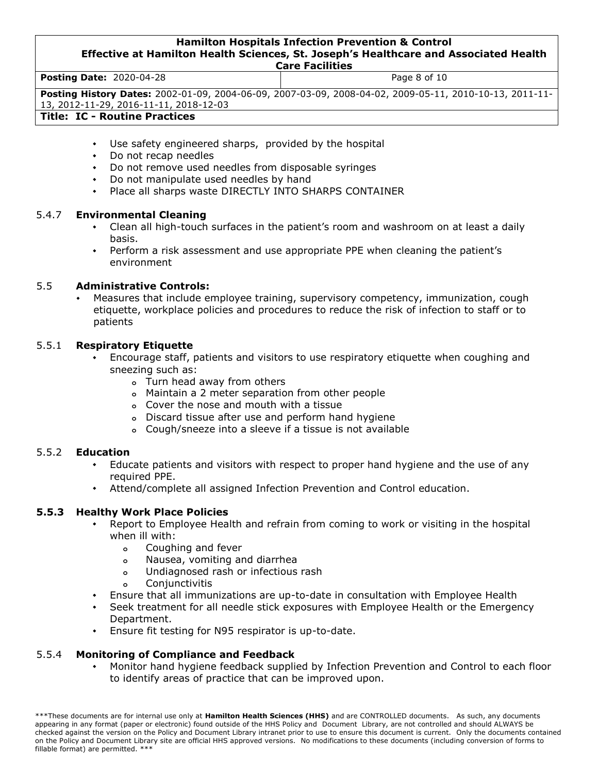|                                 | .            |
|---------------------------------|--------------|
| <b>Posting Date: 2020-04-28</b> | Page 8 of 10 |
|                                 |              |

**Posting History Dates:** 2002-01-09, 2004-06-09, 2007-03-09, 2008-04-02, 2009-05-11, 2010-10-13, 2011-11- 13, 2012-11-29, 2016-11-11, 2018-12-03

#### **Title: IC - Routine Practices**

- Use safety engineered sharps, provided by the hospital
- Do not recap needles
- Do not remove used needles from disposable syringes
- Do not manipulate used needles by hand
- Place all sharps waste DIRECTLY INTO SHARPS CONTAINER

# 5.4.7 **Environmental Cleaning**

- Clean all high-touch surfaces in the patient's room and washroom on at least a daily basis.
- Perform a risk assessment and use appropriate PPE when cleaning the patient's environment

# <span id="page-7-0"></span>5.5 **Administrative Controls:**

 Measures that include employee training, supervisory competency, immunization, cough etiquette, workplace policies and procedures to reduce the risk of infection to staff or to patients

# <span id="page-7-1"></span>5.5.1 **Respiratory Etiquette**

- Encourage staff, patients and visitors to use respiratory etiquette when coughing and sneezing such as:
	- **o** Turn head away from others
	- **o** Maintain a 2 meter separation from other people
	- **o** Cover the nose and mouth with a tissue
	- **o** Discard tissue after use and perform hand hygiene
	- **o** Cough/sneeze into a sleeve if a tissue is not available

# <span id="page-7-2"></span>5.5.2 **Education**

- Educate patients and visitors with respect to proper hand hygiene and the use of any required PPE.
- Attend/complete all assigned Infection Prevention and Control education.

# <span id="page-7-3"></span>**5.5.3 Healthy Work Place Policies**

- Report to Employee Health and refrain from coming to work or visiting in the hospital when ill with:
	- **o** Coughing and fever
	- **o** Nausea, vomiting and diarrhea
	- **o** Undiagnosed rash or infectious rash
	- **o** Conjunctivitis
- Ensure that all immunizations are up-to-date in consultation with Employee Health
- Seek treatment for all needle stick exposures with Employee Health or the Emergency Department.
- Ensure fit testing for N95 respirator is up-to-date.

# <span id="page-7-4"></span>5.5.4 **Monitoring of Compliance and Feedback**

 Monitor hand hygiene feedback supplied by Infection Prevention and Control to each floor to identify areas of practice that can be improved upon.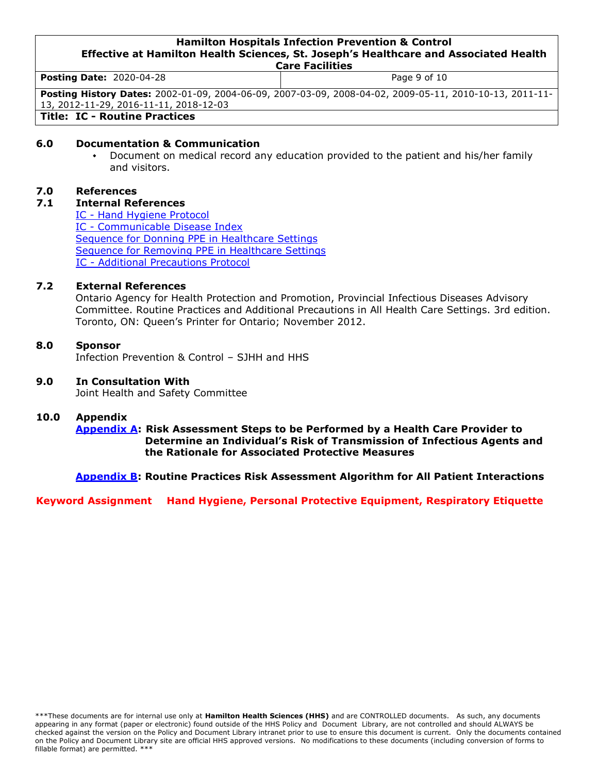| <b>Hamilton Hospitals Infection Prevention &amp; Control</b><br>Effective at Hamilton Health Sciences, St. Joseph's Healthcare and Associated Health<br><b>Care Facilities</b> |                                                                                                          |  |  |
|--------------------------------------------------------------------------------------------------------------------------------------------------------------------------------|----------------------------------------------------------------------------------------------------------|--|--|
| <b>Posting Date: 2020-04-28</b>                                                                                                                                                | Page 9 of 10                                                                                             |  |  |
|                                                                                                                                                                                | <b>Posting History Dates:</b> 2002-01-09 2004-06-09 2007-03-09 2008-04-02 2009-05-11 2010-10-13 2011-11- |  |  |

**Posting History Dates:** 2002-01-09, 2004-06-09, 2007-03-09, 2008-04-02, 2009-05-11, 20 13, 2012-11-29, 2016-11-11, 2018-12-03 **Title: IC - Routine Practices**

#### <span id="page-8-0"></span>**6.0 Documentation & Communication**

 Document on medical record any education provided to the patient and his/her family and visitors.

#### <span id="page-8-1"></span>**7.0 References**

## <span id="page-8-2"></span>**7.1 Internal References**

IC - [Hand Hygiene Protocol](http://policy.hhsc.ca/Site_Published/hhsc/document_render.aspx?documentRender.IdType=6&documentRender.GenericField=&documentRender.Id=96597) IC - [Communicable Disease Index](http://policy.hhsc.ca/Site_Published/hhsc/document_render.aspx?documentRender.IdType=6&documentRender.GenericField=&documentRender.Id=96595) [Sequence for Donning PPE in Healthcare Settings](http://mystjoes/sites/Depts-A-L/ipac/Shared%20Documents/Process%20for%20Donning%20PPE%20-%20COVID-19.pdf) [Sequence for Removing PPE in Healthcare Settings](http://mystjoes/sites/Depts-A-L/ipac/Shared%20Documents/Process%20for%20Doffing%20PPE%20-%20COVID-19.pdf) IC - [Additional Precautions Protocol](http://policy.hhsc.ca/Site_Published/hhsc/document_render.aspx?documentRender.IdType=6&documentRender.GenericField=&documentRender.Id=98398)

### <span id="page-8-3"></span>**7.2 External References**

Ontario Agency for Health Protection and Promotion, Provincial Infectious Diseases Advisory Committee. Routine Practices and Additional Precautions in All Health Care Settings. 3rd edition. Toronto, ON: Queen's Printer for Ontario; November 2012.

## <span id="page-8-4"></span>**8.0 Sponsor**

Infection Prevention & Control – SJHH and HHS

#### <span id="page-8-5"></span>**9.0 In Consultation With**

Joint Health and Safety Committee

### <span id="page-8-6"></span>**10.0 Appendix**

**[Appendix A:](#page-8-7) Risk Assessment Steps to be Performed by a Health Care Provider to Determine an Individual's Risk of Transmission of Infectious Agents and the Rationale for Associated Protective Measures**

**[Appendix B:](#page-10-0) Routine Practices Risk Assessment Algorithm for All Patient Interactions**

<span id="page-8-7"></span>**Keyword Assignment Hand Hygiene, Personal Protective Equipment, Respiratory Etiquette**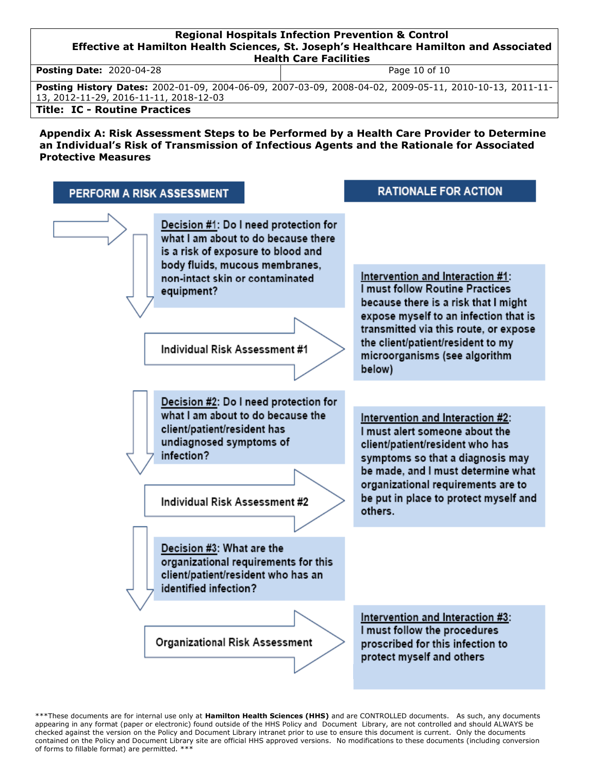### **Regional Hospitals Infection Prevention & Control Effective at Hamilton Health Sciences, St. Joseph's Healthcare Hamilton and Associated Health Care Facilities Posting Date:** 2020-04-28 **Posting Date: 2020-04-28** Page 10 of 10 **Posting History Dates:** 2002-01-09, 2004-06-09, 2007-03-09, 2008-04-02, 2009-05-11, 2010-10-13, 2011-11- 13, 2012-11-29, 2016-11-11, 2018-12-03

**Title: IC - Routine Practices**

#### **Appendix A: Risk Assessment Steps to be Performed by a Health Care Provider to Determine an Individual's Risk of Transmission of Infectious Agents and the Rationale for Associated Protective Measures**